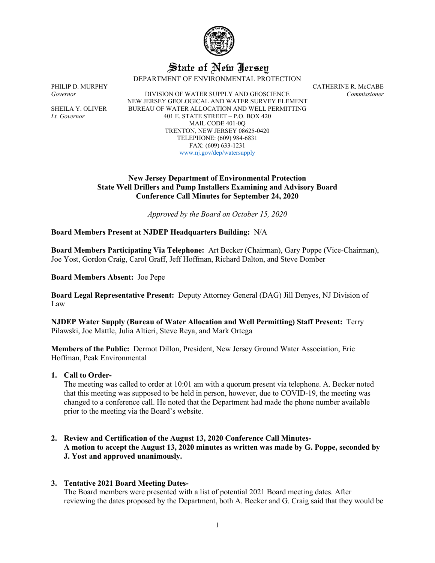

# State of New Jersey

DEPARTMENT OF ENVIRONMENTAL PROTECTION

PHILIP D. MURPHY CATHERINE R. McCABE *Governor* DIVISION OF WATER SUPPLY AND GEOSCIENCE *Commissioner* NEW JERSEY GEOLOGICAL AND WATER SURVEY ELEMENT SHEILA Y. OLIVER BUREAU OF WATER ALLOCATION AND WELL PERMITTING *Lt. Governor* 401 E. STATE STREET – P.O. BOX 420 MAIL CODE 401-0Q TRENTON, NEW JERSEY 08625-0420 TELEPHONE: (609) 984-6831 FAX: (609) 633-1231 [www.nj.gov/dep/watersupply](http://www.nj.gov/dep/watersupply)

# **New Jersey Department of Environmental Protection State Well Drillers and Pump Installers Examining and Advisory Board Conference Call Minutes for September 24, 2020**

*Approved by the Board on October 15, 2020*

**Board Members Present at NJDEP Headquarters Building:** N/A

**Board Members Participating Via Telephone:** Art Becker (Chairman), Gary Poppe (Vice-Chairman), Joe Yost, Gordon Craig, Carol Graff, Jeff Hoffman, Richard Dalton, and Steve Domber

**Board Members Absent:** Joe Pepe

**Board Legal Representative Present:** Deputy Attorney General (DAG) Jill Denyes, NJ Division of Law

**NJDEP Water Supply (Bureau of Water Allocation and Well Permitting) Staff Present:** Terry Pilawski, Joe Mattle, Julia Altieri, Steve Reya, and Mark Ortega

**Members of the Public:** Dermot Dillon, President, New Jersey Ground Water Association, Eric Hoffman, Peak Environmental

**1. Call to Order-**

The meeting was called to order at 10:01 am with a quorum present via telephone. A. Becker noted that this meeting was supposed to be held in person, however, due to COVID-19, the meeting was changed to a conference call. He noted that the Department had made the phone number available prior to the meeting via the Board's website.

**2. Review and Certification of the August 13, 2020 Conference Call Minutes-A motion to accept the August 13, 2020 minutes as written was made by G. Poppe, seconded by J. Yost and approved unanimously.**

# **3. Tentative 2021 Board Meeting Dates-**

The Board members were presented with a list of potential 2021 Board meeting dates. After reviewing the dates proposed by the Department, both A. Becker and G. Craig said that they would be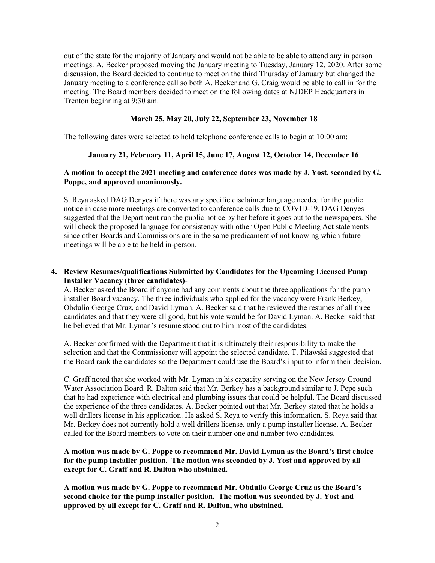out of the state for the majority of January and would not be able to be able to attend any in person meetings. A. Becker proposed moving the January meeting to Tuesday, January 12, 2020. After some discussion, the Board decided to continue to meet on the third Thursday of January but changed the January meeting to a conference call so both A. Becker and G. Craig would be able to call in for the meeting. The Board members decided to meet on the following dates at NJDEP Headquarters in Trenton beginning at 9:30 am:

# **March 25, May 20, July 22, September 23, November 18**

The following dates were selected to hold telephone conference calls to begin at 10:00 am:

# **January 21, February 11, April 15, June 17, August 12, October 14, December 16**

# **A motion to accept the 2021 meeting and conference dates was made by J. Yost, seconded by G. Poppe, and approved unanimously.**

S. Reya asked DAG Denyes if there was any specific disclaimer language needed for the public notice in case more meetings are converted to conference calls due to COVID-19. DAG Denyes suggested that the Department run the public notice by her before it goes out to the newspapers. She will check the proposed language for consistency with other Open Public Meeting Act statements since other Boards and Commissions are in the same predicament of not knowing which future meetings will be able to be held in-person.

# **4. Review Resumes/qualifications Submitted by Candidates for the Upcoming Licensed Pump Installer Vacancy (three candidates)-**

A. Becker asked the Board if anyone had any comments about the three applications for the pump installer Board vacancy. The three individuals who applied for the vacancy were Frank Berkey, Obdulio George Cruz, and David Lyman. A. Becker said that he reviewed the resumes of all three candidates and that they were all good, but his vote would be for David Lyman. A. Becker said that he believed that Mr. Lyman's resume stood out to him most of the candidates.

A. Becker confirmed with the Department that it is ultimately their responsibility to make the selection and that the Commissioner will appoint the selected candidate. T. Pilawski suggested that the Board rank the candidates so the Department could use the Board's input to inform their decision.

C. Graff noted that she worked with Mr. Lyman in his capacity serving on the New Jersey Ground Water Association Board. R. Dalton said that Mr. Berkey has a background similar to J. Pepe such that he had experience with electrical and plumbing issues that could be helpful. The Board discussed the experience of the three candidates. A. Becker pointed out that Mr. Berkey stated that he holds a well drillers license in his application. He asked S. Reya to verify this information. S. Reya said that Mr. Berkey does not currently hold a well drillers license, only a pump installer license. A. Becker called for the Board members to vote on their number one and number two candidates.

# **A motion was made by G. Poppe to recommend Mr. David Lyman as the Board's first choice for the pump installer position. The motion was seconded by J. Yost and approved by all except for C. Graff and R. Dalton who abstained.**

**A motion was made by G. Poppe to recommend Mr. Obdulio George Cruz as the Board's second choice for the pump installer position. The motion was seconded by J. Yost and approved by all except for C. Graff and R. Dalton, who abstained.**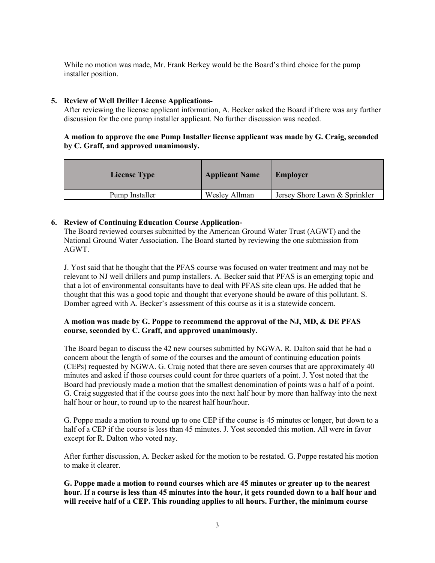While no motion was made, Mr. Frank Berkey would be the Board's third choice for the pump installer position.

#### **5. Review of Well Driller License Applications-**

After reviewing the license applicant information, A. Becker asked the Board if there was any further discussion for the one pump installer applicant. No further discussion was needed.

# **A motion to approve the one Pump Installer license applicant was made by G. Craig, seconded by C. Graff, and approved unanimously.**

| <b>License Type</b> | <b>Applicant Name</b> | <b>Employer</b>               |
|---------------------|-----------------------|-------------------------------|
| Pump Installer      | Wesley Allman         | Jersey Shore Lawn & Sprinkler |

# **6. Review of Continuing Education Course Application-**

The Board reviewed courses submitted by the American Ground Water Trust (AGWT) and the National Ground Water Association. The Board started by reviewing the one submission from AGWT.

J. Yost said that he thought that the PFAS course was focused on water treatment and may not be relevant to NJ well drillers and pump installers. A. Becker said that PFAS is an emerging topic and that a lot of environmental consultants have to deal with PFAS site clean ups. He added that he thought that this was a good topic and thought that everyone should be aware of this pollutant. S. Domber agreed with A. Becker's assessment of this course as it is a statewide concern.

# **A motion was made by G. Poppe to recommend the approval of the NJ, MD, & DE PFAS course, seconded by C. Graff, and approved unanimously.**

The Board began to discuss the 42 new courses submitted by NGWA. R. Dalton said that he had a concern about the length of some of the courses and the amount of continuing education points (CEPs) requested by NGWA. G. Craig noted that there are seven courses that are approximately 40 minutes and asked if those courses could count for three quarters of a point. J. Yost noted that the Board had previously made a motion that the smallest denomination of points was a half of a point. G. Craig suggested that if the course goes into the next half hour by more than halfway into the next half hour or hour, to round up to the nearest half hour/hour.

G. Poppe made a motion to round up to one CEP if the course is 45 minutes or longer, but down to a half of a CEP if the course is less than 45 minutes. J. Yost seconded this motion. All were in favor except for R. Dalton who voted nay.

After further discussion, A. Becker asked for the motion to be restated. G. Poppe restated his motion to make it clearer.

**G. Poppe made a motion to round courses which are 45 minutes or greater up to the nearest hour. If a course is less than 45 minutes into the hour, it gets rounded down to a half hour and will receive half of a CEP. This rounding applies to all hours. Further, the minimum course**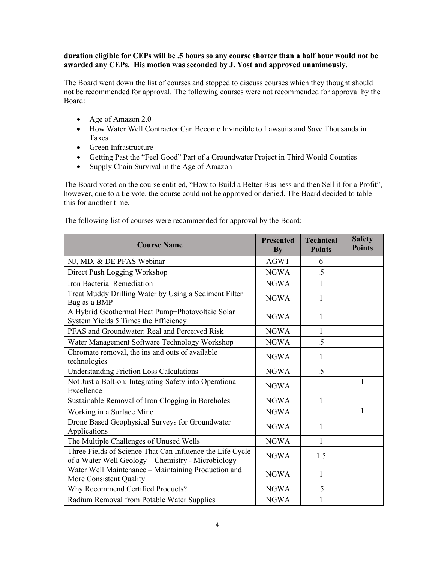## **duration eligible for CEPs will be .5 hours so any course shorter than a half hour would not be awarded any CEPs. His motion was seconded by J. Yost and approved unanimously.**

The Board went down the list of courses and stopped to discuss courses which they thought should not be recommended for approval. The following courses were not recommended for approval by the Board:

- Age of Amazon 2.0
- How Water Well Contractor Can Become Invincible to Lawsuits and Save Thousands in Taxes
- Green Infrastructure
- Getting Past the "Feel Good" Part of a Groundwater Project in Third Would Counties
- Supply Chain Survival in the Age of Amazon

The Board voted on the course entitled, "How to Build a Better Business and then Sell it for a Profit", however, due to a tie vote, the course could not be approved or denied. The Board decided to table this for another time.

| <b>Course Name</b>                                                                                              | <b>Presented</b><br><b>By</b> | <b>Technical</b><br><b>Points</b> | <b>Safety</b><br><b>Points</b> |
|-----------------------------------------------------------------------------------------------------------------|-------------------------------|-----------------------------------|--------------------------------|
| NJ, MD, & DE PFAS Webinar                                                                                       | <b>AGWT</b>                   | 6                                 |                                |
| Direct Push Logging Workshop                                                                                    | <b>NGWA</b>                   | .5                                |                                |
| Iron Bacterial Remediation                                                                                      | <b>NGWA</b>                   | 1                                 |                                |
| Treat Muddy Drilling Water by Using a Sediment Filter<br>Bag as a BMP                                           | <b>NGWA</b>                   | 1                                 |                                |
| A Hybrid Geothermal Heat Pump-Photovoltaic Solar<br>System Yields 5 Times the Efficiency                        | <b>NGWA</b>                   | 1                                 |                                |
| PFAS and Groundwater: Real and Perceived Risk                                                                   | <b>NGWA</b>                   | 1                                 |                                |
| Water Management Software Technology Workshop                                                                   | <b>NGWA</b>                   | .5                                |                                |
| Chromate removal, the ins and outs of available<br>technologies                                                 | <b>NGWA</b>                   | 1                                 |                                |
| <b>Understanding Friction Loss Calculations</b>                                                                 | <b>NGWA</b>                   | .5                                |                                |
| Not Just a Bolt-on; Integrating Safety into Operational<br>Excellence                                           | <b>NGWA</b>                   |                                   | 1                              |
| Sustainable Removal of Iron Clogging in Boreholes                                                               | <b>NGWA</b>                   | $\mathbf{1}$                      |                                |
| Working in a Surface Mine                                                                                       | <b>NGWA</b>                   |                                   | 1                              |
| Drone Based Geophysical Surveys for Groundwater<br>Applications                                                 | <b>NGWA</b>                   | 1                                 |                                |
| The Multiple Challenges of Unused Wells                                                                         | <b>NGWA</b>                   | 1                                 |                                |
| Three Fields of Science That Can Influence the Life Cycle<br>of a Water Well Geology - Chemistry - Microbiology | <b>NGWA</b>                   | 1.5                               |                                |
| Water Well Maintenance - Maintaining Production and<br>More Consistent Quality                                  | <b>NGWA</b>                   | 1                                 |                                |
| Why Recommend Certified Products?                                                                               | <b>NGWA</b>                   | .5                                |                                |
| Radium Removal from Potable Water Supplies                                                                      | <b>NGWA</b>                   | 1                                 |                                |

The following list of courses were recommended for approval by the Board: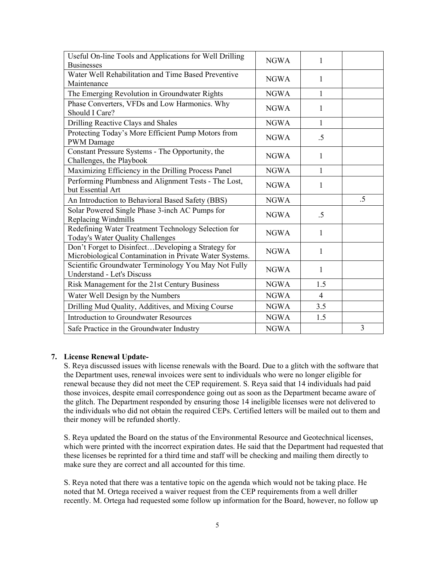| Useful On-line Tools and Applications for Well Drilling                                                       | <b>NGWA</b> | 1              |    |
|---------------------------------------------------------------------------------------------------------------|-------------|----------------|----|
| <b>Businesses</b><br>Water Well Rehabilitation and Time Based Preventive                                      |             |                |    |
| Maintenance                                                                                                   | <b>NGWA</b> | 1              |    |
| The Emerging Revolution in Groundwater Rights                                                                 | <b>NGWA</b> | 1              |    |
| Phase Converters, VFDs and Low Harmonics. Why<br>Should I Care?                                               | <b>NGWA</b> | 1              |    |
| Drilling Reactive Clays and Shales                                                                            | <b>NGWA</b> | $\mathbf{1}$   |    |
| Protecting Today's More Efficient Pump Motors from<br>PWM Damage                                              | <b>NGWA</b> | .5             |    |
| Constant Pressure Systems - The Opportunity, the<br>Challenges, the Playbook                                  | <b>NGWA</b> | 1              |    |
| Maximizing Efficiency in the Drilling Process Panel                                                           | <b>NGWA</b> | 1              |    |
| Performing Plumbness and Alignment Tests - The Lost,<br>but Essential Art                                     | <b>NGWA</b> | 1              |    |
| An Introduction to Behavioral Based Safety (BBS)                                                              | <b>NGWA</b> |                | .5 |
| Solar Powered Single Phase 3-inch AC Pumps for<br>Replacing Windmills                                         | <b>NGWA</b> | .5             |    |
| Redefining Water Treatment Technology Selection for<br>Today's Water Quality Challenges                       | <b>NGWA</b> | 1              |    |
| Don't Forget to DisinfectDeveloping a Strategy for<br>Microbiological Contamination in Private Water Systems. | <b>NGWA</b> | 1              |    |
| Scientific Groundwater Terminology You May Not Fully<br><b>Understand - Let's Discuss</b>                     | <b>NGWA</b> | 1              |    |
| Risk Management for the 21st Century Business                                                                 | <b>NGWA</b> | 1.5            |    |
| Water Well Design by the Numbers                                                                              | <b>NGWA</b> | $\overline{4}$ |    |
| Drilling Mud Quality, Additives, and Mixing Course                                                            | <b>NGWA</b> | 3.5            |    |
| <b>Introduction to Groundwater Resources</b>                                                                  | <b>NGWA</b> | 1.5            |    |
| Safe Practice in the Groundwater Industry                                                                     | <b>NGWA</b> |                | 3  |

# **7. License Renewal Update-**

S. Reya discussed issues with license renewals with the Board. Due to a glitch with the software that the Department uses, renewal invoices were sent to individuals who were no longer eligible for renewal because they did not meet the CEP requirement. S. Reya said that 14 individuals had paid those invoices, despite email correspondence going out as soon as the Department became aware of the glitch. The Department responded by ensuring those 14 ineligible licenses were not delivered to the individuals who did not obtain the required CEPs. Certified letters will be mailed out to them and their money will be refunded shortly.

S. Reya updated the Board on the status of the Environmental Resource and Geotechnical licenses, which were printed with the incorrect expiration dates. He said that the Department had requested that these licenses be reprinted for a third time and staff will be checking and mailing them directly to make sure they are correct and all accounted for this time.

S. Reya noted that there was a tentative topic on the agenda which would not be taking place. He noted that M. Ortega received a waiver request from the CEP requirements from a well driller recently. M. Ortega had requested some follow up information for the Board, however, no follow up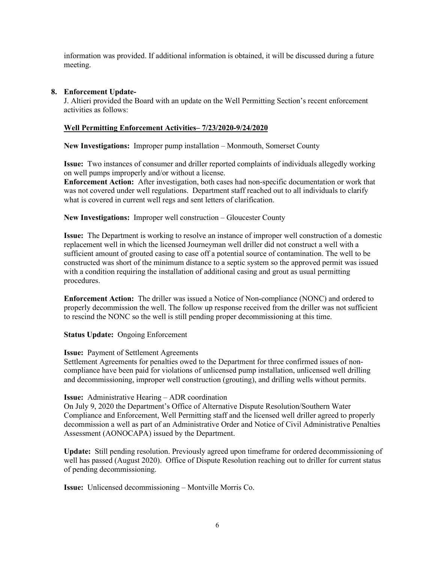information was provided. If additional information is obtained, it will be discussed during a future meeting.

# **8. Enforcement Update-**

J. Altieri provided the Board with an update on the Well Permitting Section's recent enforcement activities as follows:

# **Well Permitting Enforcement Activities– 7/23/2020-9/24/2020**

**New Investigations:** Improper pump installation – Monmouth, Somerset County

**Issue:** Two instances of consumer and driller reported complaints of individuals allegedly working on well pumps improperly and/or without a license.

**Enforcement Action:** After investigation, both cases had non-specific documentation or work that was not covered under well regulations. Department staff reached out to all individuals to clarify what is covered in current well regs and sent letters of clarification.

**New Investigations:** Improper well construction – Gloucester County

**Issue:** The Department is working to resolve an instance of improper well construction of a domestic replacement well in which the licensed Journeyman well driller did not construct a well with a sufficient amount of grouted casing to case off a potential source of contamination. The well to be constructed was short of the minimum distance to a septic system so the approved permit was issued with a condition requiring the installation of additional casing and grout as usual permitting procedures.

**Enforcement Action:** The driller was issued a Notice of Non-compliance (NONC) and ordered to properly decommission the well. The follow up response received from the driller was not sufficient to rescind the NONC so the well is still pending proper decommissioning at this time.

**Status Update:** Ongoing Enforcement

# **Issue:** Payment of Settlement Agreements

Settlement Agreements for penalties owed to the Department for three confirmed issues of noncompliance have been paid for violations of unlicensed pump installation, unlicensed well drilling and decommissioning, improper well construction (grouting), and drilling wells without permits.

# **Issue:** Administrative Hearing – ADR coordination

On July 9, 2020 the Department's Office of Alternative Dispute Resolution/Southern Water Compliance and Enforcement, Well Permitting staff and the licensed well driller agreed to properly decommission a well as part of an Administrative Order and Notice of Civil Administrative Penalties Assessment (AONOCAPA) issued by the Department.

**Update:** Still pending resolution. Previously agreed upon timeframe for ordered decommissioning of well has passed (August 2020). Office of Dispute Resolution reaching out to driller for current status of pending decommissioning.

**Issue:** Unlicensed decommissioning – Montville Morris Co.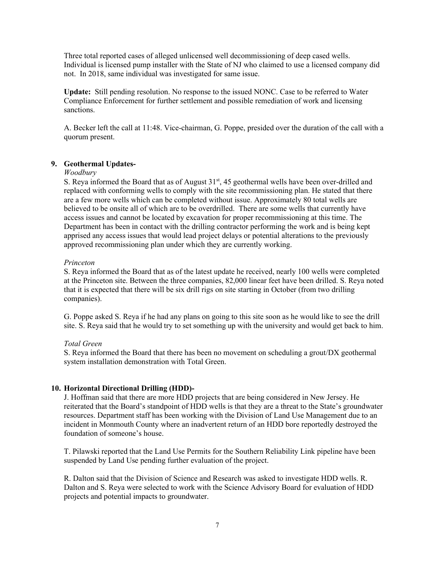Three total reported cases of alleged unlicensed well decommissioning of deep cased wells. Individual is licensed pump installer with the State of NJ who claimed to use a licensed company did not. In 2018, same individual was investigated for same issue.

**Update:** Still pending resolution. No response to the issued NONC. Case to be referred to Water Compliance Enforcement for further settlement and possible remediation of work and licensing sanctions.

A. Becker left the call at 11:48. Vice-chairman, G. Poppe, presided over the duration of the call with a quorum present.

#### **9. Geothermal Updates-**

#### *Woodbury*

S. Reya informed the Board that as of August 31<sup>st</sup>, 45 geothermal wells have been over-drilled and replaced with conforming wells to comply with the site recommissioning plan. He stated that there are a few more wells which can be completed without issue. Approximately 80 total wells are believed to be onsite all of which are to be overdrilled. There are some wells that currently have access issues and cannot be located by excavation for proper recommissioning at this time. The Department has been in contact with the drilling contractor performing the work and is being kept apprised any access issues that would lead project delays or potential alterations to the previously approved recommissioning plan under which they are currently working.

#### *Princeton*

S. Reya informed the Board that as of the latest update he received, nearly 100 wells were completed at the Princeton site. Between the three companies, 82,000 linear feet have been drilled. S. Reya noted that it is expected that there will be six drill rigs on site starting in October (from two drilling companies).

G. Poppe asked S. Reya if he had any plans on going to this site soon as he would like to see the drill site. S. Reya said that he would try to set something up with the university and would get back to him.

# *Total Green*

S. Reya informed the Board that there has been no movement on scheduling a grout/DX geothermal system installation demonstration with Total Green.

# **10. Horizontal Directional Drilling (HDD)-**

J. Hoffman said that there are more HDD projects that are being considered in New Jersey. He reiterated that the Board's standpoint of HDD wells is that they are a threat to the State's groundwater resources. Department staff has been working with the Division of Land Use Management due to an incident in Monmouth County where an inadvertent return of an HDD bore reportedly destroyed the foundation of someone's house.

T. Pilawski reported that the Land Use Permits for the Southern Reliability Link pipeline have been suspended by Land Use pending further evaluation of the project.

R. Dalton said that the Division of Science and Research was asked to investigate HDD wells. R. Dalton and S. Reya were selected to work with the Science Advisory Board for evaluation of HDD projects and potential impacts to groundwater.